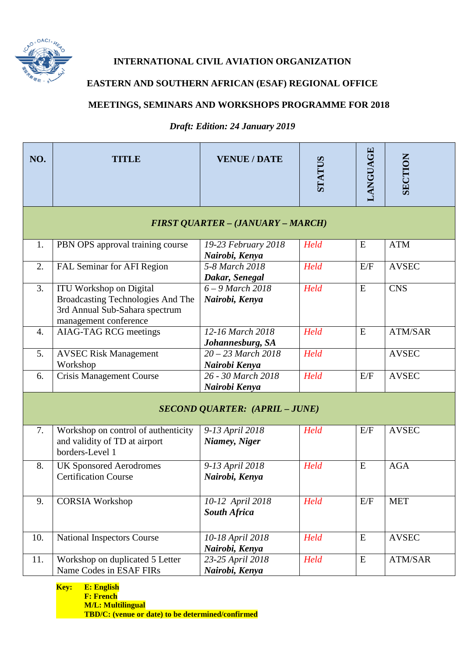

## **INTERNATIONAL CIVIL AVIATION ORGANIZATION**

## **EASTERN AND SOUTHERN AFRICAN (ESAF) REGIONAL OFFICE**

## **MEETINGS, SEMINARS AND WORKSHOPS PROGRAMME FOR 2018**

*Draft: Edition: 24 January 2019*

| NO.                                   | TITLE                                                                                                                                 | <b>VENUE / DATE</b>                     | STATUS | <b>LANGUAGE</b> | <b>SECTION</b> |  |
|---------------------------------------|---------------------------------------------------------------------------------------------------------------------------------------|-----------------------------------------|--------|-----------------|----------------|--|
| FIRST QUARTER - (JANUARY - MARCH)     |                                                                                                                                       |                                         |        |                 |                |  |
| 1.                                    | PBN OPS approval training course                                                                                                      | 19-23 February 2018<br>Nairobi, Kenya   | Held   | E               | <b>ATM</b>     |  |
| 2.                                    | FAL Seminar for AFI Region                                                                                                            | 5-8 March 2018<br>Dakar, Senegal        | Held   | E/F             | <b>AVSEC</b>   |  |
| 3.                                    | <b>ITU Workshop on Digital</b><br><b>Broadcasting Technologies And The</b><br>3rd Annual Sub-Sahara spectrum<br>management conference | $6 - 9$ March 2018<br>Nairobi, Kenya    | Held   | E               | <b>CNS</b>     |  |
| 4.                                    | <b>AIAG-TAG RCG meetings</b>                                                                                                          | 12-16 March 2018<br>Johannesburg, SA    | Held   | E               | <b>ATM/SAR</b> |  |
| 5.                                    | <b>AVSEC Risk Management</b><br>Workshop                                                                                              | $20 - 23$ March $2018$<br>Nairobi Kenya | Held   |                 | <b>AVSEC</b>   |  |
| 6.                                    | <b>Crisis Management Course</b>                                                                                                       | 26 - 30 March 2018<br>Nairobi Kenya     | Held   | E/F             | <b>AVSEC</b>   |  |
| <b>SECOND QUARTER: (APRIL - JUNE)</b> |                                                                                                                                       |                                         |        |                 |                |  |
| 7.                                    | Workshop on control of authenticity<br>and validity of TD at airport<br>borders-Level 1                                               | 9-13 April 2018<br>Niamey, Niger        | Held   | E/F             | <b>AVSEC</b>   |  |
| 8.                                    | <b>UK Sponsored Aerodromes</b><br><b>Certification Course</b>                                                                         | 9-13 April 2018<br>Nairobi, Kenya       | Held   | E               | <b>AGA</b>     |  |
| 9.                                    | <b>CORSIA Workshop</b>                                                                                                                | 10-12 April 2018<br><b>South Africa</b> | Held   | E/F             | <b>MET</b>     |  |
| 10.                                   | <b>National Inspectors Course</b>                                                                                                     | 10-18 April 2018<br>Nairobi, Kenya      | Held   | ${\bf E}$       | <b>AVSEC</b>   |  |
| 11.                                   | Workshop on duplicated 5 Letter<br>Name Codes in ESAF FIRs                                                                            | 23-25 April 2018<br>Nairobi, Kenya      | Held   | ${\bf E}$       | ATM/SAR        |  |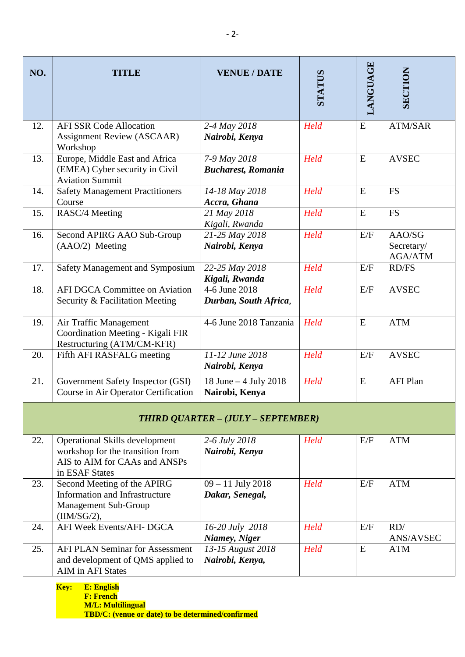| NO.                                       | TITLE                                                                                                                        | <b>VENUE / DATE</b>                       | STATUS | LANGUAGE | SECTION                                |
|-------------------------------------------|------------------------------------------------------------------------------------------------------------------------------|-------------------------------------------|--------|----------|----------------------------------------|
| 12.                                       | <b>AFI SSR Code Allocation</b><br><b>Assignment Review (ASCAAR)</b><br>Workshop                                              | 2-4 May 2018<br>Nairobi, Kenya            | Held   | E        | <b>ATM/SAR</b>                         |
| 13.                                       | Europe, Middle East and Africa<br>(EMEA) Cyber security in Civil<br><b>Aviation Summit</b>                                   | 7-9 May 2018<br><b>Bucharest, Romania</b> | Held   | E        | <b>AVSEC</b>                           |
| 14.                                       | <b>Safety Management Practitioners</b><br>Course                                                                             | 14-18 May 2018<br>Accra, Ghana            | Held   | E        | <b>FS</b>                              |
| 15.                                       | RASC/4 Meeting                                                                                                               | 21 May 2018<br>Kigali, Rwanda             | Held   | E        | <b>FS</b>                              |
| 16.                                       | Second APIRG AAO Sub-Group<br>(AAO/2) Meeting                                                                                | 21-25 May 2018<br>Nairobi, Kenya          | Held   | E/F      | AAO/SG<br>Secretary/<br><b>AGA/ATM</b> |
| 17.                                       | Safety Management and Symposium                                                                                              | 22-25 May 2018<br>Kigali, Rwanda          | Held   | E/F      | <b>RD/FS</b>                           |
| 18.                                       | <b>AFI DGCA Committee on Aviation</b><br>Security & Facilitation Meeting                                                     | 4-6 June 2018<br>Durban, South Africa,    | Held   | E/F      | <b>AVSEC</b>                           |
| 19.                                       | Air Traffic Management<br>Coordination Meeting - Kigali FIR<br>Restructuring (ATM/CM-KFR)                                    | 4-6 June 2018 Tanzania                    | Held   | E        | <b>ATM</b>                             |
| 20.                                       | Fifth AFI RASFALG meeting                                                                                                    | 11-12 June 2018<br>Nairobi, Kenya         | Held   | E/F      | <b>AVSEC</b>                           |
| 21.                                       | Government Safety Inspector (GSI)<br>Course in Air Operator Certification                                                    | 18 June - 4 July 2018<br>Nairobi, Kenya   | Held   | E        | <b>AFI Plan</b>                        |
| <b>THIRD QUARTER - (JULY - SEPTEMBER)</b> |                                                                                                                              |                                           |        |          |                                        |
| 22.                                       | <b>Operational Skills development</b><br>workshop for the transition from<br>AIS to AIM for CAAs and ANSPs<br>in ESAF States | 2-6 July 2018<br>Nairobi, Kenya           | Held   | E/F      | <b>ATM</b>                             |
| 23.                                       | Second Meeting of the APIRG<br>Information and Infrastructure<br><b>Management Sub-Group</b><br>(IM/SG/2),                   | $09 - 11$ July 2018<br>Dakar, Senegal,    | Held   | E/F      | <b>ATM</b>                             |
| 24.                                       | AFI Week Events/AFI- DGCA                                                                                                    | 16-20 July 2018<br>Niamey, Niger          | Held   | E/F      | RD/<br>ANS/AVSEC                       |
| 25.                                       | <b>AFI PLAN Seminar for Assessment</b><br>and development of QMS applied to<br><b>AIM</b> in AFI States                      | 13-15 August 2018<br>Nairobi, Kenya,      | Held   | E        | <b>ATM</b>                             |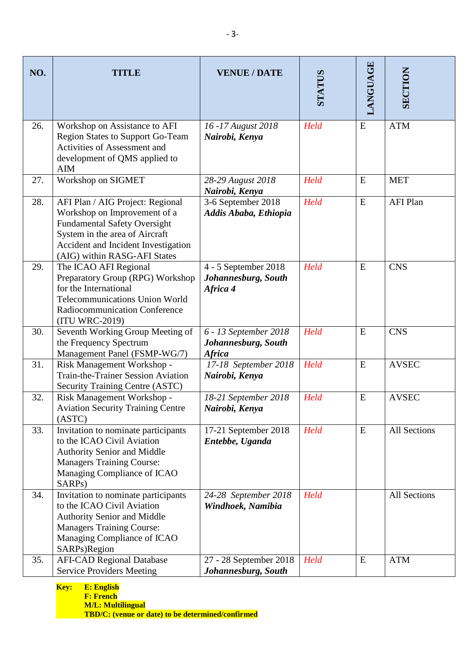| NO. | <b>TITLE</b>                                                                                                                                                                                                     | <b>VENUE / DATE</b>                                           | STATUS | LANGUAGE  | <b>SECTION</b>      |
|-----|------------------------------------------------------------------------------------------------------------------------------------------------------------------------------------------------------------------|---------------------------------------------------------------|--------|-----------|---------------------|
| 26. | Workshop on Assistance to AFI<br><b>Region States to Support Go-Team</b><br><b>Activities of Assessment and</b><br>development of QMS applied to<br><b>AIM</b>                                                   | 16 - 17 August 2018<br>Nairobi, Kenya                         | Held   | ${\bf E}$ | <b>ATM</b>          |
| 27. | Workshop on SIGMET                                                                                                                                                                                               | 28-29 August 2018<br>Nairobi, Kenya                           | Held   | E         | <b>MET</b>          |
| 28. | AFI Plan / AIG Project: Regional<br>Workshop on Improvement of a<br><b>Fundamental Safety Oversight</b><br>System in the area of Aircraft<br>Accident and Incident Investigation<br>(AIG) within RASG-AFI States | 3-6 September 2018<br>Addis Ababa, Ethiopia                   | Held   | E         | <b>AFI Plan</b>     |
| 29. | The ICAO AFI Regional<br>Preparatory Group (RPG) Workshop<br>for the International<br><b>Telecommunications Union World</b><br>Radiocommunication Conference<br>(ITU WRC-2019)                                   | 4 - 5 September 2018<br>Johannesburg, South<br>Africa 4       | Held   | E         | <b>CNS</b>          |
| 30. | Seventh Working Group Meeting of<br>the Frequency Spectrum<br>Management Panel (FSMP-WG/7)                                                                                                                       | 6 - 13 September 2018<br>Johannesburg, South<br><b>Africa</b> | Held   | E         | <b>CNS</b>          |
| 31. | Risk Management Workshop -<br><b>Train-the-Trainer Session Aviation</b><br><b>Security Training Centre (ASTC)</b>                                                                                                | 17-18 September 2018<br>Nairobi, Kenya                        | Held   | E         | <b>AVSEC</b>        |
| 32. | Risk Management Workshop -<br><b>Aviation Security Training Centre</b><br>(ASTC)                                                                                                                                 | 18-21 September 2018<br>Nairobi, Kenya                        | Held   | E         | <b>AVSEC</b>        |
| 33. | Invitation to nominate participants<br>to the ICAO Civil Aviation<br>Authority Senior and Middle<br><b>Managers Training Course:</b><br>Managing Compliance of ICAO<br>SARP <sub>s</sub> )                       | 17-21 September 2018<br>Entebbe, Uganda                       | Held   | E         | <b>All Sections</b> |
| 34. | Invitation to nominate participants<br>to the ICAO Civil Aviation<br><b>Authority Senior and Middle</b><br><b>Managers Training Course:</b><br>Managing Compliance of ICAO<br>SARPs)Region                       | 24-28 September 2018<br>Windhoek, Namibia                     | Held   |           | All Sections        |
| 35. | <b>AFI-CAD Regional Database</b><br><b>Service Providers Meeting</b>                                                                                                                                             | 27 - 28 September 2018<br>Johannesburg, South                 | Held   | E         | <b>ATM</b>          |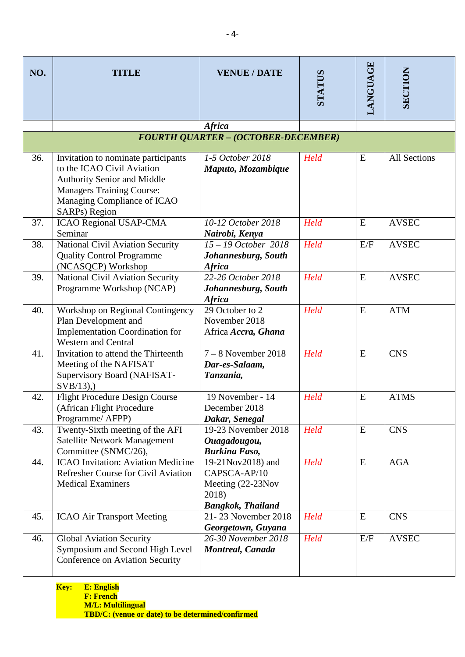| NO. | TITLE                                                                                                                                                                                | <b>VENUE / DATE</b>                                                                         | STATUS | LANGUAGE | <b>SECTION</b>      |
|-----|--------------------------------------------------------------------------------------------------------------------------------------------------------------------------------------|---------------------------------------------------------------------------------------------|--------|----------|---------------------|
|     |                                                                                                                                                                                      |                                                                                             |        |          |                     |
|     |                                                                                                                                                                                      | <b>Africa</b>                                                                               |        |          |                     |
|     |                                                                                                                                                                                      | <b>FOURTH QUARTER - (OCTOBER-DECEMBER)</b>                                                  |        |          |                     |
| 36. | Invitation to nominate participants<br>to the ICAO Civil Aviation<br>Authority Senior and Middle<br><b>Managers Training Course:</b><br>Managing Compliance of ICAO<br>SARPs) Region | 1-5 October 2018<br>Maputo, Mozambique                                                      | Held   | E        | <b>All Sections</b> |
| 37. | <b>ICAO Regional USAP-CMA</b><br>Seminar                                                                                                                                             | 10-12 October 2018<br>Nairobi, Kenya                                                        | Held   | E        | <b>AVSEC</b>        |
| 38. | National Civil Aviation Security<br><b>Quality Control Programme</b><br>(NCASQCP) Workshop                                                                                           | $15 - 19$ October 2018<br>Johannesburg, South<br><b>Africa</b>                              | Held   | E/F      | <b>AVSEC</b>        |
| 39. | <b>National Civil Aviation Security</b><br>Programme Workshop (NCAP)                                                                                                                 | 22-26 October 2018<br>Johannesburg, South<br><b>Africa</b>                                  | Held   | E        | <b>AVSEC</b>        |
| 40. | Workshop on Regional Contingency<br>Plan Development and<br><b>Implementation Coordination for</b><br><b>Western and Central</b>                                                     | 29 October to 2<br>November 2018<br>Africa Accra, Ghana                                     | Held   | E        | <b>ATM</b>          |
| 41. | Invitation to attend the Thirteenth<br>Meeting of the NAFISAT<br>Supervisory Board (NAFISAT-<br>$SVB/13$ ),                                                                          | $7 - 8$ November 2018<br>Dar-es-Salaam,<br>Tanzania,                                        | Held   | E        | <b>CNS</b>          |
| 42. | <b>Flight Procedure Design Course</b><br>(African Flight Procedure)<br>Programme/ AFPP)                                                                                              | 19 November - 14<br>December 2018<br>Dakar, Senegal                                         | Held   | E        | <b>ATMS</b>         |
| 43. | Twenty-Sixth meeting of the AFI<br>Satellite Network Management<br>Committee (SNMC/26),                                                                                              | 19-23 November 2018<br>Ouagadougou,<br><b>Burkina Faso,</b>                                 | Held   | E        | <b>CNS</b>          |
| 44. | <b>ICAO</b> Invitation: Aviation Medicine<br>Refresher Course for Civil Aviation<br><b>Medical Examiners</b>                                                                         | 19-21Nov2018) and<br>CAPSCA-AP/10<br>Meeting (22-23Nov<br>2018)<br><b>Bangkok, Thailand</b> | Held   | E        | <b>AGA</b>          |
| 45. | <b>ICAO Air Transport Meeting</b>                                                                                                                                                    | 21-23 November 2018<br>Georgetown, Guyana                                                   | Held   | E        | <b>CNS</b>          |
| 46. | <b>Global Aviation Security</b><br>Symposium and Second High Level<br>Conference on Aviation Security                                                                                | 26-30 November 2018<br>Montreal, Canada                                                     | Held   | E/F      | <b>AVSEC</b>        |